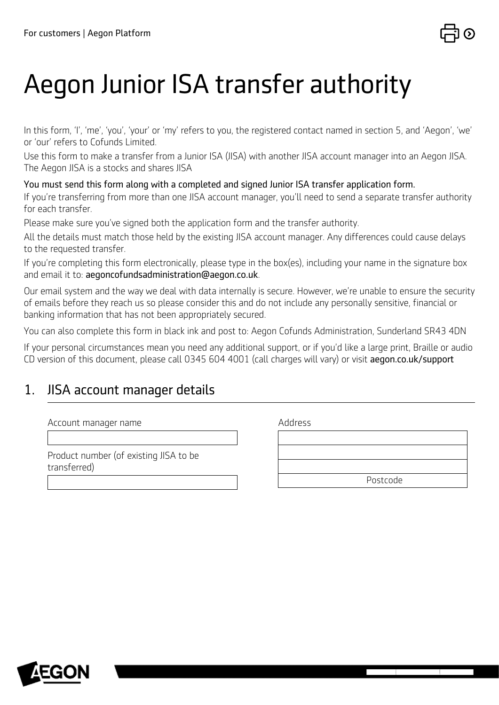

# Aegon Junior ISA transfer authority

In this form, 'I', 'me', 'you', 'your' or 'my' refers to you, the registered contact named in section 5, and 'Aegon', 'we' or 'our' refers to Cofunds Limited.

Use this form to make a transfer from a Junior ISA (JISA) with another JISA account manager into an Aegon JISA. The Aegon JISA is a stocks and shares JISA

You must send this form along with a completed and signed Junior ISA transfer application form.

If you're transferring from more than one JISA account manager, you'll need to send a separate transfer authority for each transfer.

Please make sure you've signed both the application form and the transfer authority.

All the details must match those held by the existing JISA account manager. Any differences could cause delays to the requested transfer.

If you're completing this form electronically, please type in the box(es), including your name in the signature box and email it to: [aegoncofundsadministration@aegon.co.uk](http://aegoncofundsadministration@aegon.co.uk).

Our email system and the way we deal with data internally is secure. However, we're unable to ensure the security of emails before they reach us so please consider this and do not include any personally sensitive, financial or banking information that has not been appropriately secured.

You can also complete this form in black ink and post to: Aegon Cofunds Administration, Sunderland SR43 4DN

If your personal circumstances mean you need any additional support, or if you'd like a large print, Braille or audio CD version of this document, please call 0345 604 4001 (call charges will vary) or visit [aegon.co.uk/support](http://aegon.co.uk/support)

#### 1. JISA account manager details

| Account manager name |
|----------------------|
|----------------------|

Product number (of existing JISA to be transferred)

Address

| Postcode |
|----------|
|          |
|          |

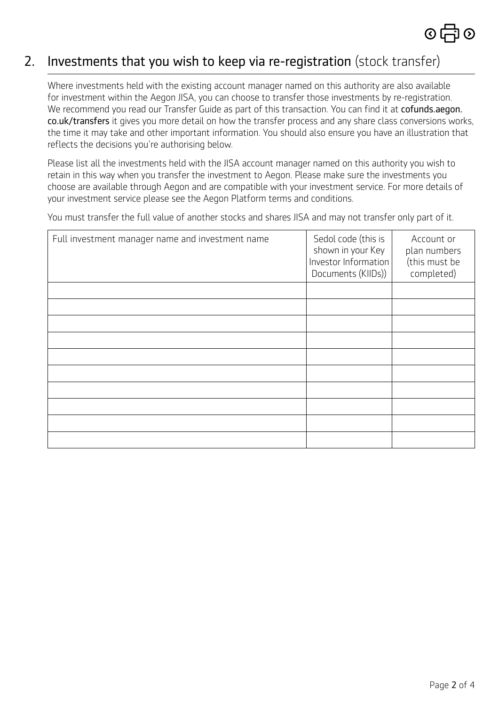

### 2. Investments that you wish to keep via re-registration (stock transfer)

Where investments held with the existing account manager named on this authority are also available for investment within the Aegon JISA, you can choose to transfer those investments by re-registration. We recommend you read our Transfer Guide as part of this transaction. You can find it at [cofunds.aegon.](http://cofunds.aegon.co.uk/transfers) [co.uk/transfers](http://cofunds.aegon.co.uk/transfers) it gives you more detail on how the transfer process and any share class conversions works, the time it may take and other important information. You should also ensure you have an illustration that reflects the decisions you're authorising below.

Please list all the investments held with the JISA account manager named on this authority you wish to retain in this way when you transfer the investment to Aegon. Please make sure the investments you choose are available through Aegon and are compatible with your investment service. For more details of your investment service please see the Aegon Platform terms and conditions.

You must transfer the full value of another stocks and shares JISA and may not transfer only part of it.

| Full investment manager name and investment name | Sedol code (this is<br>shown in your Key<br>Investor Information<br>Documents (KIIDs)) | Account or<br>plan numbers<br>(this must be<br>completed) |
|--------------------------------------------------|----------------------------------------------------------------------------------------|-----------------------------------------------------------|
|                                                  |                                                                                        |                                                           |
|                                                  |                                                                                        |                                                           |
|                                                  |                                                                                        |                                                           |
|                                                  |                                                                                        |                                                           |
|                                                  |                                                                                        |                                                           |
|                                                  |                                                                                        |                                                           |
|                                                  |                                                                                        |                                                           |
|                                                  |                                                                                        |                                                           |
|                                                  |                                                                                        |                                                           |
|                                                  |                                                                                        |                                                           |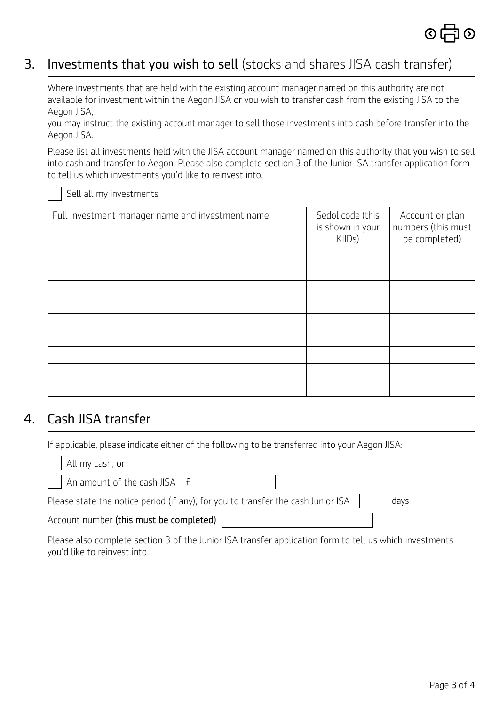

## 3. Investments that you wish to sell (stocks and shares JISA cash transfer)

Where investments that are held with the existing account manager named on this authority are not available for investment within the Aegon JISA or you wish to transfer cash from the existing JISA to the Aegon JISA,

you may instruct the existing account manager to sell those investments into cash before transfer into the Aegon JISA.

Please list all investments held with the JISA account manager named on this authority that you wish to sell into cash and transfer to Aegon. Please also complete section 3 of the Junior ISA transfer application form to tell us which investments you'd like to reinvest into.

Sell all my investments

| Full investment manager name and investment name | Sedol code (this<br>is shown in your<br>KIIDs) | Account or plan<br>numbers (this must)<br>be completed) |
|--------------------------------------------------|------------------------------------------------|---------------------------------------------------------|
|                                                  |                                                |                                                         |
|                                                  |                                                |                                                         |
|                                                  |                                                |                                                         |
|                                                  |                                                |                                                         |
|                                                  |                                                |                                                         |
|                                                  |                                                |                                                         |
|                                                  |                                                |                                                         |
|                                                  |                                                |                                                         |
|                                                  |                                                |                                                         |

#### 4. Cash JISA transfer

If applicable, please indicate either of the following to be transferred into your Aegon JISA:

| All my cash, or                                                                  |      |
|----------------------------------------------------------------------------------|------|
| An amount of the cash JISA $\mid$ £                                              |      |
| Please state the notice period (if any), for you to transfer the cash Junior ISA | davs |
| Account number (this must be completed)                                          |      |

Please also complete section 3 of the Junior ISA transfer application form to tell us which investments you'd like to reinvest into.